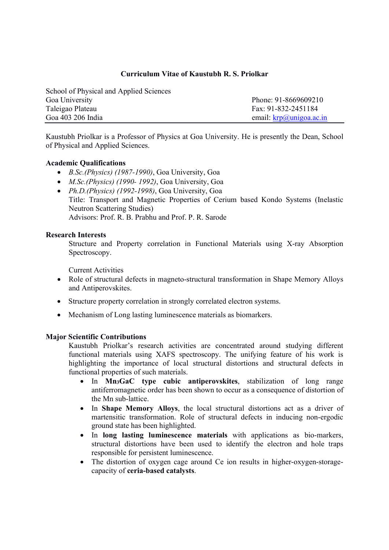## Curriculum Vitae of Kaustubh R. S. Priolkar

| School of Physical and Applied Sciences |                                     |
|-----------------------------------------|-------------------------------------|
| Goa University                          | Phone: 91-8669609210                |
| Taleigao Plateau                        | Fax: 91-832-2451184                 |
| Goa 403 206 India                       | email: $\text{krp}(a)$ unigoa.ac.in |

Kaustubh Priolkar is a Professor of Physics at Goa University. He is presently the Dean, School of Physical and Applied Sciences.

### Academic Qualifications

- B.Sc.(Physics) (1987-1990), Goa University, Goa
- M.Sc.(Physics) (1990- 1992), Goa University, Goa
- Ph.D.(Physics) (1992-1998), Goa University, Goa Title: Transport and Magnetic Properties of Cerium based Kondo Systems (Inelastic Neutron Scattering Studies) Advisors: Prof. R. B. Prabhu and Prof. P. R. Sarode

### Research Interests

Structure and Property correlation in Functional Materials using X-ray Absorption Spectroscopy.

Current Activities

- Role of structural defects in magneto-structural transformation in Shape Memory Alloys and Antiperovskites.
- Structure property correlation in strongly correlated electron systems.
- Mechanism of Long lasting luminescence materials as biomarkers.

#### Major Scientific Contributions

Kaustubh Priolkar's research activities are concentrated around studying different functional materials using XAFS spectroscopy. The unifying feature of his work is highlighting the importance of local structural distortions and structural defects in functional properties of such materials.

- In Mn<sub>3</sub>GaC type cubic antiperovskites, stabilization of long range antiferromagnetic order has been shown to occur as a consequence of distortion of the Mn sub-lattice.
- In Shape Memory Alloys, the local structural distortions act as a driver of martensitic transformation. Role of structural defects in inducing non-ergodic ground state has been highlighted.
- In long lasting luminescence materials with applications as bio-markers, structural distortions have been used to identify the electron and hole traps responsible for persistent luminescence.
- The distortion of oxygen cage around Ce ion results in higher-oxygen-storagecapacity of ceria-based catalysts.